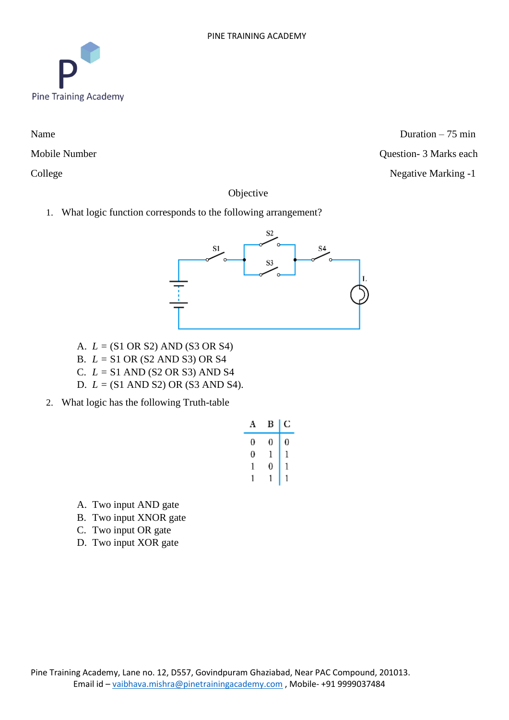

Name Duration – 75 min Mobile Number Question- 3 Marks each College Negative Marking -1

Objective

1. What logic function corresponds to the following arrangement?



- A. *L =* (S1 OR S2) AND (S3 OR S4)
- B. *L =* S1 OR (S2 AND S3) OR S4
- C. *L =* S1 AND (S2 OR S3) AND S4
- D. *L =* (S1 AND S2) OR (S3 AND S4).
- 2. What logic has the following Truth-table

| Α | В | С |
|---|---|---|
| 0 | 0 | 0 |
| 0 | 1 | 1 |
| 1 | 0 | 1 |
|   |   |   |

- A. Two input AND gate
- B. Two input XNOR gate
- C. Two input OR gate
- D. Two input XOR gate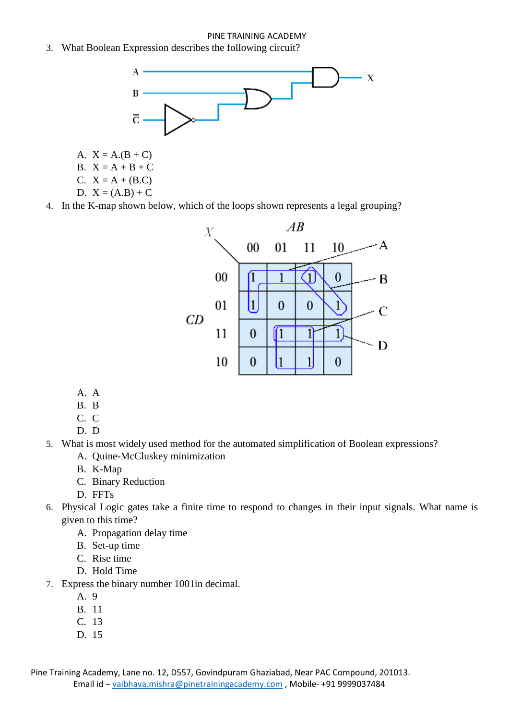3. What Boolean Expression describes the following circuit?



- A.  $X = A.(B + C)$
- B.  $X = A + B + C$
- C.  $X = A + (B.C)$
- D.  $X = (A.B) + C$

4. In the K-map shown below, which of the loops shown represents a legal grouping?



- A. A
- B. B
- C. C
- D. D
- 5. What is most widely used method for the automated simplification of Boolean expressions?
	- A. Quine-McCluskey minimization
	- B. K-Map
	- C. Binary Reduction
	- D. FFTs
- 6. Physical Logic gates take a finite time to respond to changes in their input signals. What name is given to this time?
	- A. Propagation delay time
	- B. Set-up time
	- C. Rise time
	- D. Hold Time
- 7. Express the binary number 1001in decimal.
	- A. 9
	- B. 11
	- C. 13
	- D. 15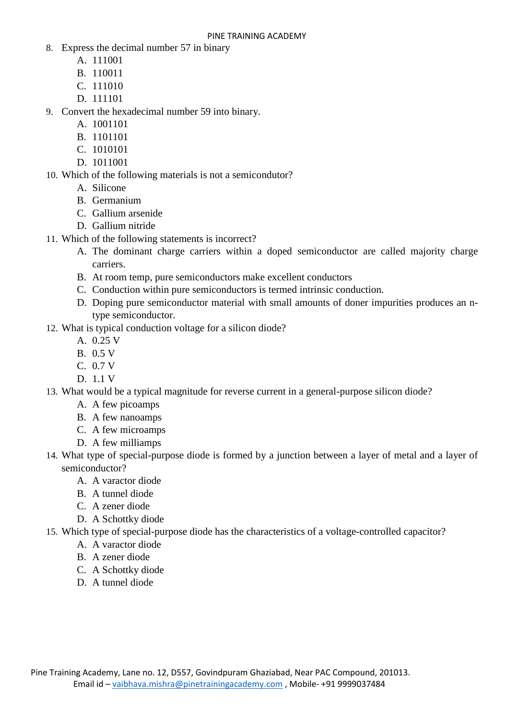- 8. Express the decimal number 57 in binary
	- A. 111001
	- B. 110011
	- C. 111010
	- D. 111101

9. Convert the hexadecimal number 59 into binary.

- A. 1001101
- B. 1101101
- C. 1010101
- D. 1011001

10. Which of the following materials is not a semicondutor?

- A. Silicone
- B. Germanium
- C. Gallium arsenide
- D. Gallium nitride
- 11. Which of the following statements is incorrect?
	- A. The dominant charge carriers within a doped semiconductor are called majority charge carriers.
	- B. At room temp, pure semiconductors make excellent conductors
	- C. Conduction within pure semiconductors is termed intrinsic conduction.
	- D. Doping pure semiconductor material with small amounts of doner impurities produces an ntype semiconductor.
- 12. What is typical conduction voltage for a silicon diode?
	- A. 0.25 V
	- B. 0.5 V
	- C. 0.7 V
	- D. 1.1 V
- 13. What would be a typical magnitude for reverse current in a general-purpose silicon diode?
	- A. A few picoamps
	- B. A few nanoamps
	- C. A few microamps
	- D. A few milliamps
- 14. What type of special-purpose diode is formed by a junction between a layer of metal and a layer of semiconductor?
	- A. A varactor diode
	- B. A tunnel diode
	- C. A zener diode
	- D. A Schottky diode
- 15. Which type of special-purpose diode has the characteristics of a voltage-controlled capacitor?
	- A. A varactor diode
	- B. A zener diode
	- C. A Schottky diode
	- D. A tunnel diode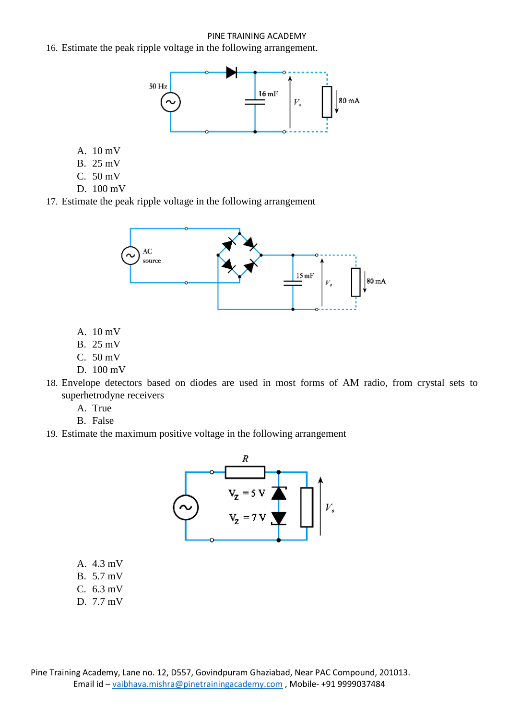16. Estimate the peak ripple voltage in the following arrangement.



- A. 10 mV
- B. 25 mV
- C. 50 mV
- D. 100 mV

17. Estimate the peak ripple voltage in the following arrangement



- A. 10 mV
- B. 25 mV
- C. 50 mV
- D. 100 mV
- 18. Envelope detectors based on diodes are used in most forms of AM radio, from crystal sets to superhetrodyne receivers
	- A. True
	- B. False
- 19. Estimate the maximum positive voltage in the following arrangement



- A. 4.3 mV
- B. 5.7 mV
- C. 6.3 mV
- D. 7.7 mV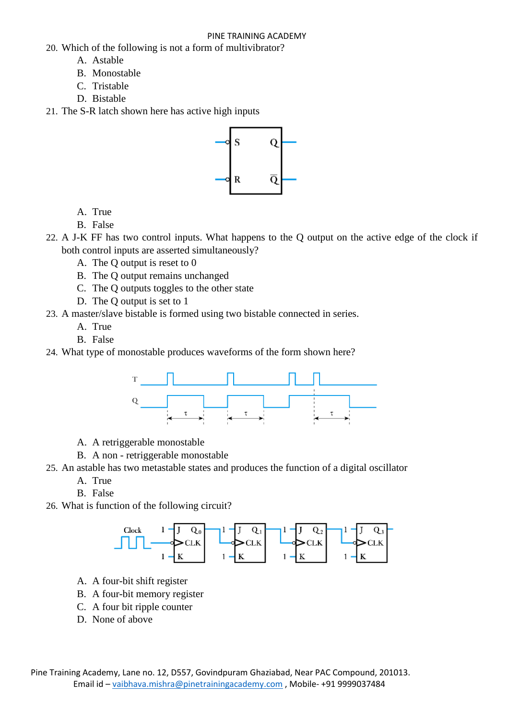- 20. Which of the following is not a form of multivibrator?
	- A. Astable
	- B. Monostable
	- C. Tristable
	- D. Bistable
- 21. The S-R latch shown here has active high inputs



- A. True
- B. False
- 22. A J-K FF has two control inputs. What happens to the Q output on the active edge of the clock if both control inputs are asserted simultaneously?
	- A. The Q output is reset to 0
	- B. The Q output remains unchanged
	- C. The Q outputs toggles to the other state
	- D. The Q output is set to 1
- 23. A master/slave bistable is formed using two bistable connected in series.
	- A. True
	- B. False
- 24. What type of monostable produces waveforms of the form shown here?



- A. A retriggerable monostable
- B. A non retriggerable monostable
- 25. An astable has two metastable states and produces the function of a digital oscillator
	- A. True
	- B. False
- 26. What is function of the following circuit?



- A. A four-bit shift register
- B. A four-bit memory register
- C. A four bit ripple counter
- D. None of above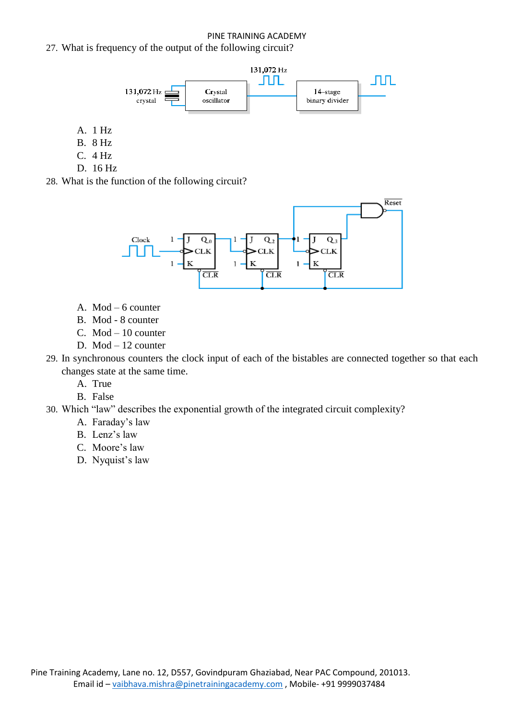

- A. 1 Hz
- B. 8 Hz
- C. 4 Hz
- D. 16 Hz
- 28. What is the function of the following circuit?



- A. Mod 6 counter
- B. Mod 8 counter
- C. Mod 10 counter
- D. Mod 12 counter
- 29. In synchronous counters the clock input of each of the bistables are connected together so that each changes state at the same time.
	- A. True
	- B. False
- 30. Which "law" describes the exponential growth of the integrated circuit complexity?
	- A. Faraday's law
	- B. Lenz's law
	- C. Moore's law
	- D. Nyquist's law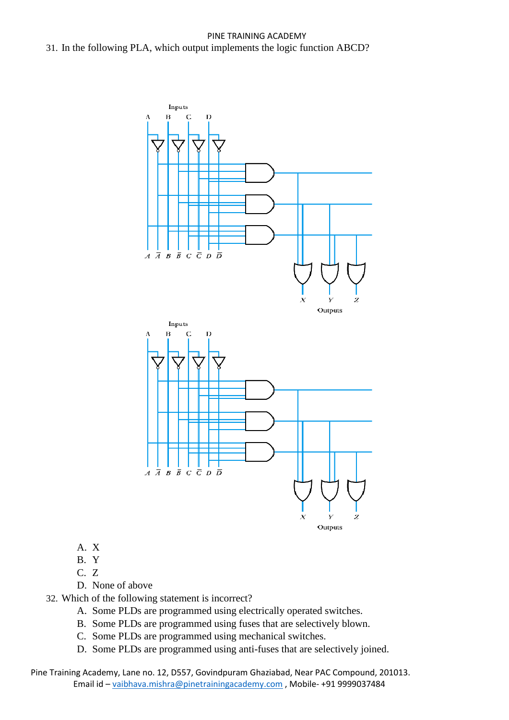

- A. X
- B. Y
- C. Z

D. None of above

- 32. Which of the following statement is incorrect?
	- A. Some PLDs are programmed using electrically operated switches.
	- B. Some PLDs are programmed using fuses that are selectively blown.
	- C. Some PLDs are programmed using mechanical switches.
	- D. Some PLDs are programmed using anti-fuses that are selectively joined.

Pine Training Academy, Lane no. 12, D557, Govindpuram Ghaziabad, Near PAC Compound, 201013. Email id – vaibhava.mishra@pinetrainingacademy.com , Mobile- +91 9999037484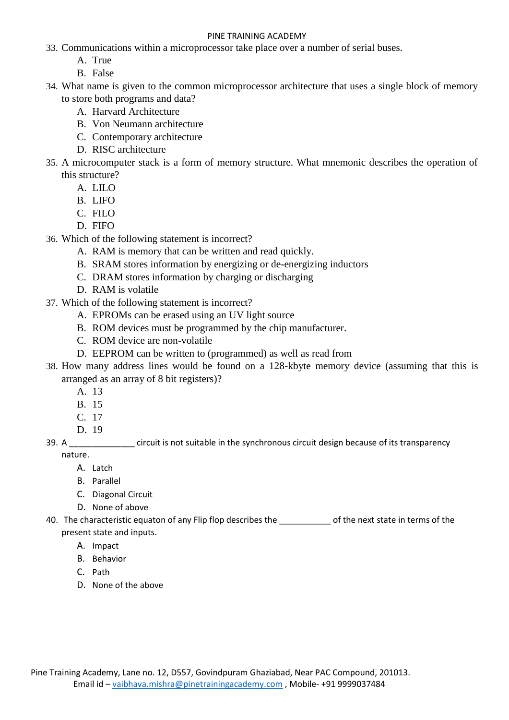- 33. Communications within a microprocessor take place over a number of serial buses.
	- A. True
	- B. False
- 34. What name is given to the common microprocessor architecture that uses a single block of memory to store both programs and data?
	- A. Harvard Architecture
	- B. Von Neumann architecture
	- C. Contemporary architecture
	- D. RISC architecture
- 35. A microcomputer stack is a form of memory structure. What mnemonic describes the operation of this structure?
	- A. LILO
	- B. LIFO
	- C. FILO
	- D. FIFO
- 36. Which of the following statement is incorrect?
	- A. RAM is memory that can be written and read quickly.
	- B. SRAM stores information by energizing or de-energizing inductors
	- C. DRAM stores information by charging or discharging
	- D. RAM is volatile
- 37. Which of the following statement is incorrect?
	- A. EPROMs can be erased using an UV light source
	- B. ROM devices must be programmed by the chip manufacturer.
	- C. ROM device are non-volatile
	- D. EEPROM can be written to (programmed) as well as read from
- 38. How many address lines would be found on a 128-kbyte memory device (assuming that this is arranged as an array of 8 bit registers)?
	- A. 13
	- B. 15
	- C. 17
	- D. 19
- 39. A \_\_\_\_\_\_\_\_\_\_\_\_\_\_ circuit is not suitable in the synchronous circuit design because of its transparency nature.
	- A. Latch
	- B. Parallel
	- C. Diagonal Circuit
	- D. None of above
- 40. The characteristic equaton of any Flip flop describes the  $\qquad$  of the next state in terms of the present state and inputs.
	- A. Impact
	- B. Behavior
	- C. Path
	- D. None of the above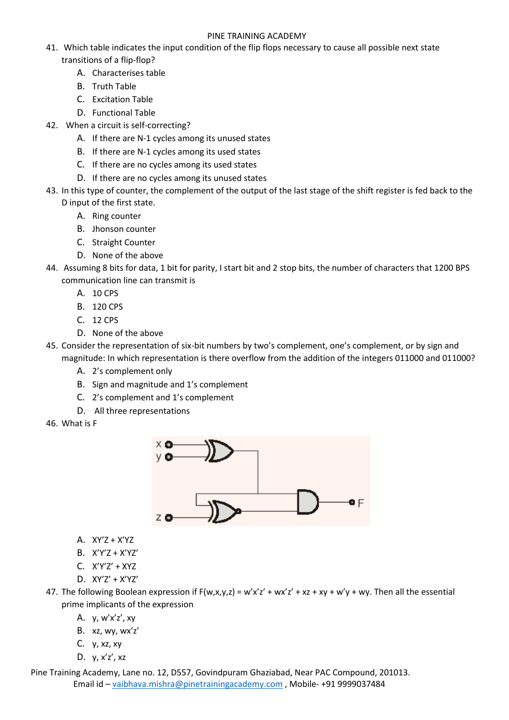- 41. Which table indicates the input condition of the flip flops necessary to cause all possible next state transitions of a flip-flop?
	- A. Characterises table
	- B. Truth Table
	- C. Excitation Table
	- D. Functional Table
- 42. When a circuit is self-correcting?
	- A. If there are N-1 cycles among its unused states
	- B. If there are N-1 cycles among its used states
	- C. If there are no cycles among its used states
	- D. If there are no cycles among its unused states
- 43. In this type of counter, the complement of the output of the last stage of the shift register is fed back to the D input of the first state.
	- A. Ring counter
	- B. Jhonson counter
	- C. Straight Counter
	- D. None of the above
- 44. Assuming 8 bits for data, 1 bit for parity, I start bit and 2 stop bits, the number of characters that 1200 BPS communication line can transmit is
	- A. 10 CPS
	- B. 120 CPS
	- C. 12 CPS
	- D. None of the above
- 45. Consider the representation of six-bit numbers by two's complement, one's complement, or by sign and magnitude: In which representation is there overflow from the addition of the integers 011000 and 011000?
	- A. 2's complement only
	- B. Sign and magnitude and 1's complement
	- C. 2's complement and 1's complement
	- D. All three representations
- 46. What is F



- A. XY'Z + X'YZ
- B. X'Y'Z + X'YZ'
- C. X'Y'Z' + XYZ
- D. XY'Z' + X'YZ'

47. The following Boolean expression if  $F(w,x,y,z) = w'x'z' + wx'z' + xz + xy + w'y + wy$ . Then all the essential prime implicants of the expression

- A. y, w'x'z', xy
- B. xz, wy, wx'z'
- C. y, xz, xy
- D. y, x'z', xz

Pine Training Academy, Lane no. 12, D557, Govindpuram Ghaziabad, Near PAC Compound, 201013. Email id – vaibhava.mishra@pinetrainingacademy.com , Mobile- +91 9999037484